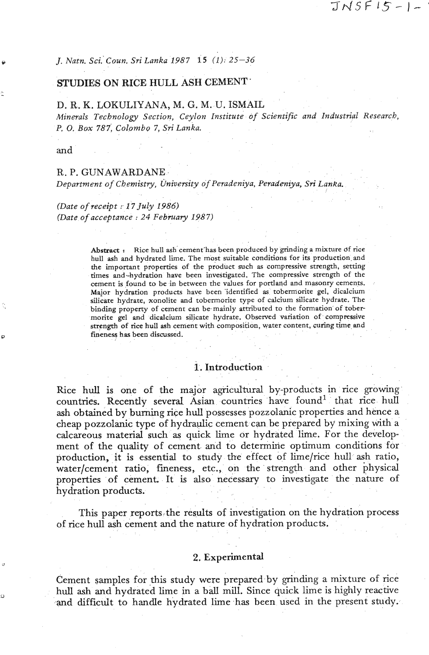*J. Natn. Sci. Coun. Sri Lanka 1987* 15 (1): 25-36

# STUDIES ON RICE HULL ASH CEMENT<sup>-</sup>

### D. R. K. LBKULIYANA, **M.** G. M. U. ISMAIL

*Minerals Technology Section, Ceylon Institute of Scientific and Industrial Research, P.* 0. *Box* 787, *Colomb~* 7, Sri *Lanka.* 

and

#### R. P. GUNAWARDANE

*Department of Chemistry, university of Peradeniya, Peradeniya, Sri Lanka.* 

## *(Date of receipt* : <sup>17</sup>*July* 1986) *(Date of acceptance* : *24 February* 1987)

**Abstract** : Rice hull ash cement'has been produced by grinding a mixture of rice hull ash and hydrated lime. The most suitzble conditions for its production and the important properties of the product such as compressive strength, setting times and-hydration have been investigated. The compressive strength of the cement is found to be in between the values for portland and masonry cements. Major hydration products have been 'identified as tobermorite gel, dicalcium silicate hydrate, xonolite and tobermorite type of calcium silicate hydrate. The binding property of cement can be mainly attributed to the formation of tober monte gel and dicdcium silicate hydrate. Observed variation of compressive strength of rice **hull** ash cement with composition, water content, curing time **and**  fineness has been discussed.

## 1. Introduction

Rice hull is one of the major agricultural by-products in rice growing countries. Recently several Asian countries have found<sup>1</sup> that rice hull ash obtained by burning rice hull possesses pozzolanic properties and hence a cheap pozzolanic type of hydraulic cement can be prepared by mixing with a calcareous material such as quick lime or hydrated lime. For the development of the quality of cement and to determine optimum conditions for production, it is essential to study the effect of lime/rice hull ash ratio, water/cement ratio, fineness, etc., on the strength and other physical properties of cement. It is also necessary to investigate the nature of hydration products.

This paper reports the results of investigation on the hydration process of rice hull ash cement and the nature of hydration products.

## 2. Experimental

Cement samples for this study were prepared by grinding a mixture of rice hull ash and hydrated lime in a ball mill. Since quick lime is highly reactive and difficult to handle hydrated lime has been used in the present study.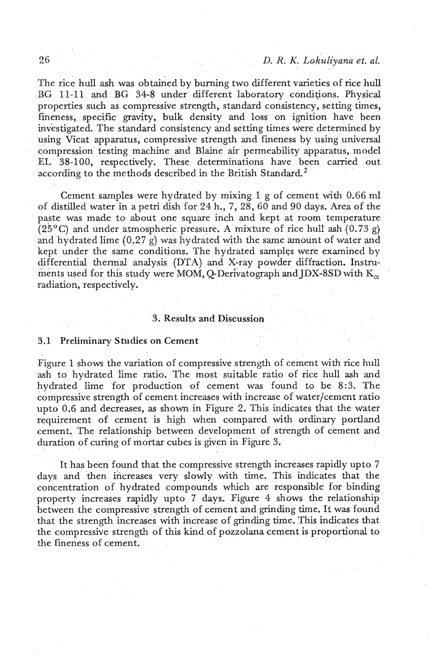The rice hull ash was obtained by burning two different varieties of rice hull BG 11-11 and BG 34-8 under different laboratory conditions. Physical properties such as compressive strength, standard consistency, setting times, fineness, specific gravity, bulk density and loss on ignition have been investigated. The standard consistency and setting times were determined by using Vicat apparatus, compressive strength and fineness by using universal compression testing machine and Blaine **air** permeability apparatus, model EL 38-100, respectively. These determinations have been carried out according to the methods described in the British Standard.<sup>2</sup>

Cement samples were hydrated by mixing 1 g of cement with 0.66 ml of distilled water in a petri dish for 24 h., 7, **28,60** and 90 days. Area of the paste was made to about one square inch and kept at room temperature  $(25^{\circ}C)$  and under atmospheric pressure. A mixture of rice hull ash  $(0.73 g)$ and hydrated lime  $(0.27 \text{ g})$  was hydrated with the same amount of water and kept under the same conditions. The hydrated samples were examined by differential thermal analysis (DTA) and X-ray powder diffraction. Instruments used for this study were MOM, Q-Derivatograph and **JDX-8SD** with  $K_{\alpha}$ radiation, respectively.

### **3.** Results and Discussion

#### 3.1 Preliminary Studies on Cement

Figure 1 shows the variation of compressive strength of cement with rice hull ash to hydrated lime ratio. The most suitable ratio of rice hull ash and hydrated lime for production of cement was found to be 8:3. The compressive strength of cement increases with increase of water/cement ratio upto 0.6 and decreases, as shown in Figure **2.** This indicates that the water requirement of cement is high when compared with ordinary portland cement. The relationship between development of strength of cement and duration of curing of mortar cubes is given in Figure 3.

It has been found that the compressive strength increases rapidly upto **7**  days and then ihcreases very slowly with time. This indicates that the concentration of hydrated compounds which are responsible for binding property increases rapidly upto 7 days. Figure 4 shows the relationship between the compressive strength of cement and grinding time. It was found that the strength increases with increase of grinding time. This indicates that the compressive strength of this kind of pozzolana cement is proportional to the fineness of cement.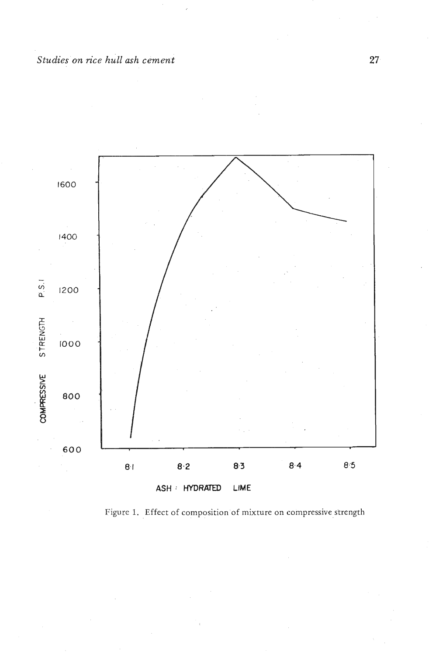

Figure 1. Effect of composition of mixture on compressive strength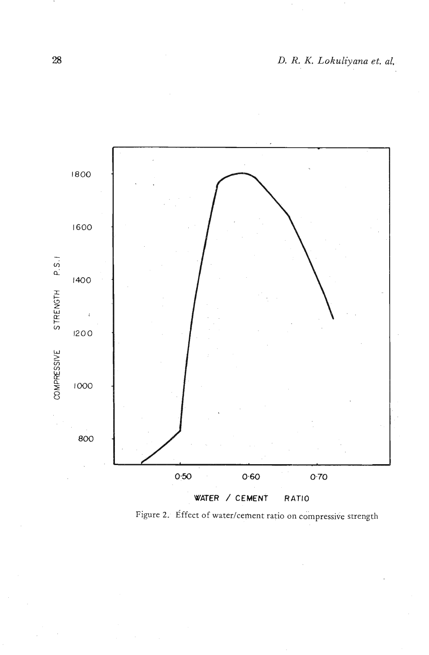

Figure 2. Effect of water/cement ratio on compressive strength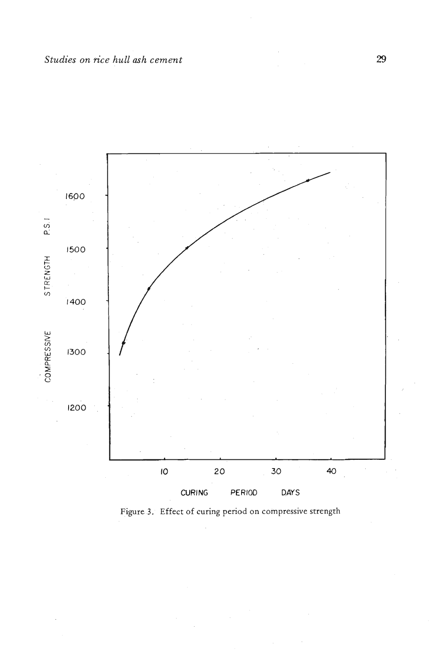

Figure 3. Effect of curing period on compressive strength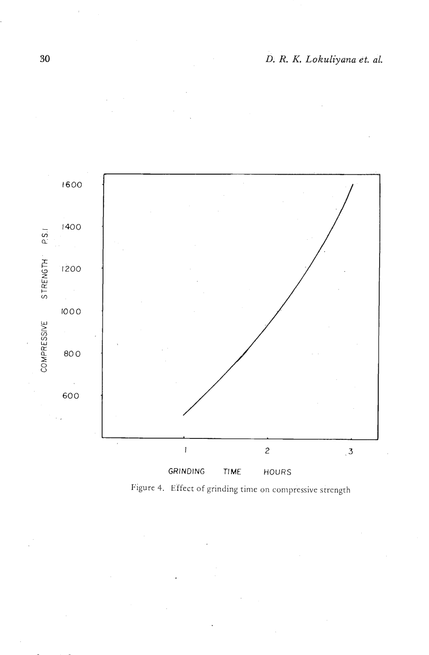

Figure 4. Effect of grinding time on compressive strength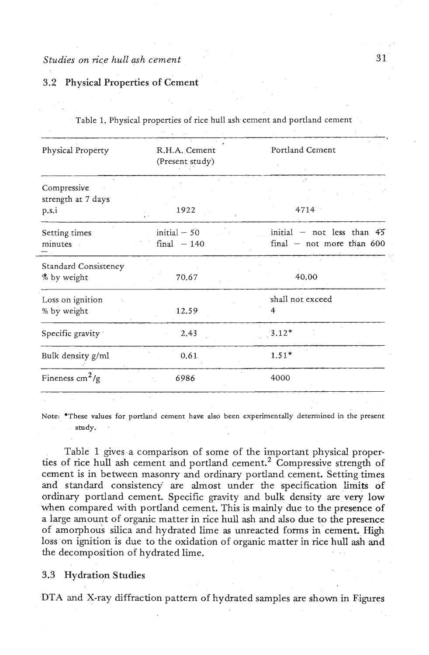### 3.2 Physical Properties of Cement

| Table 1. Physical properties of rice hull ash cement and portland cement |                                  |                                                               |
|--------------------------------------------------------------------------|----------------------------------|---------------------------------------------------------------|
| Physical Property                                                        | R.H.A. Cement<br>(Present study) | Portland Cement                                               |
| Compressive<br>strength at 7 days<br>p.s.i                               | 1922                             | 4714                                                          |
| Setting times<br>minutes                                                 | $initial - 50$<br>$final - 140$  | initial $-$ not less than $45$<br>$final$ – not more than 600 |
| <b>Standard Consistency</b><br>% by weight                               | 70.67                            | 40.00                                                         |
| Loss on ignition<br>% by weight                                          | 12.59                            | shall not exceed                                              |
| Specific gravity                                                         | 2.43                             | $3.12*$                                                       |
| Bulk density g/ml                                                        | 0.61                             | $1.51*$                                                       |
| Fineness $\text{cm}^2/\text{g}$                                          | 6986                             | 4000                                                          |

Note: \*These values for portland cement have also been experimentally determined in the present study.

Table 1 gives a comparison of some of the important physical properties of rice hull ash cement and portland cement.<sup>2</sup> Compressive strength of cement is in between masonry and ordinary portland cement. Setting times and standard consistency are almost under the specification limits of ordinary portland cement. Specific gravity and bulk density are very low when compared with portland cement. This is mainly due to the presence of a large amount of organic matter in rice hull ash and also due to the presence of amorphous silica and hydrated lime as unreacted forms in cement. High loss on ignition is due to the oxidation of organic matter in rice hull ash and the decomposition of hydrated lime.

### 3.3 Hydration Studies

DTA and X-ray diffraction pattern of hydrated samples are shown in Figures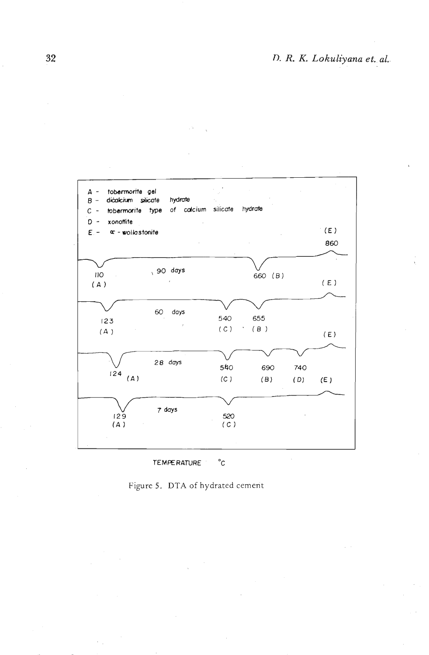



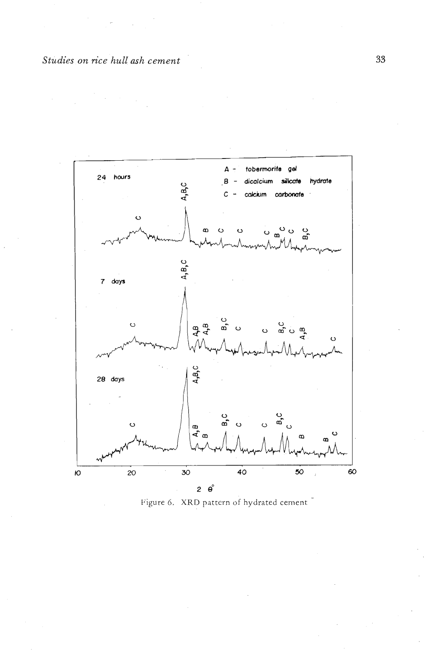

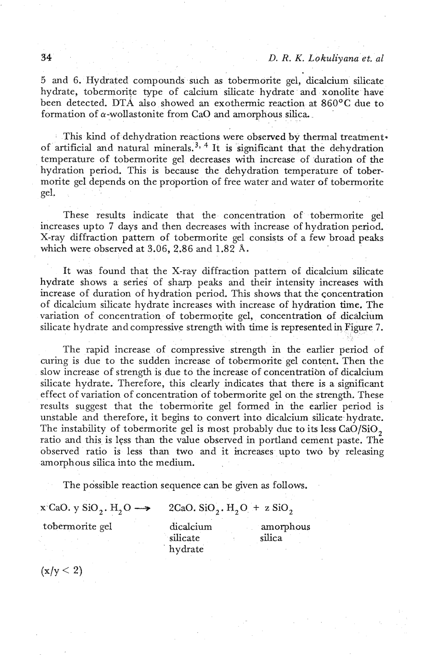5 and 6. Hydrated compounds such as tobermorite gel, dicalcium silicate hydrate, tobermorite type of calcium silicate hydrate and xonolite have been detected. DTA also showed an exothermic reaction at 860<sup>o</sup>C due to formation of a-wollastonite from CaO and amorphous silica.

This kind of dehydration reactions were observed by thermal treatment. of artificial and natural minerals,  $3, 4$  It is significant that the dehydration temperature of tobermorite gel decreases with increase of duration of the hydration period. This is because the dehydration temperature of tobermorite gel depends on the proportion of free water and water of tobermorite gel.

These results indicate that the concentration of tobermorite gel increases upto 7 days and then decreases with increase of hydration period. X-ray diffraction pattern of tobermorite gel consists of a few broad peaks which were observed at 3.06, 2.86 and 1.82 Å.

It was found that the X-ray diffraction pattern of dicalcium silicate hydrate shows a series of sharp peaks and their intensity increases with increase of duration of hydration period. This shows that the concentration of dicalcium silicate hydrate increases with increase of hydration time. The variation of concentration of tobermorite gel, concentration of dicalcium silicate hydrate and compressive strength with time is represented in Figure 7.

The rapid increase of compressive strength in the earlier period of curing is due to the sudden increase of tobermorite gel content. Then the slow increase of strength is due to the increase of concentration of dicalcium silicate hydrate. Therefore, this clearly indicates that there is a significant effect of variation of concentration of tobermorite gel on the strength. These results suggest that the tobermorite gel formed in the earlier period is unstable and therefore, it begins to convert into dicalcium silicate hydrate. The instability of tobermorite gel is most probably due to its less CaO/SiO, ratio and this is less than the value observed in portland cement paste. The observed ratio is less than two and it increases upto two by releasing amorphous silica into the medium.

2CaO. SiO<sub>2</sub>. H<sub>2</sub>O + z SiO<sub>2</sub>

The possible reaction sequence can be given as follows.

 $x^c$ CaO. y SiO<sub>2</sub>. H<sub>2</sub>O  $\longrightarrow$ 

tobermorite gel

dicalcium silicate hydrate

amorphous silica

 $(x/y < 2)$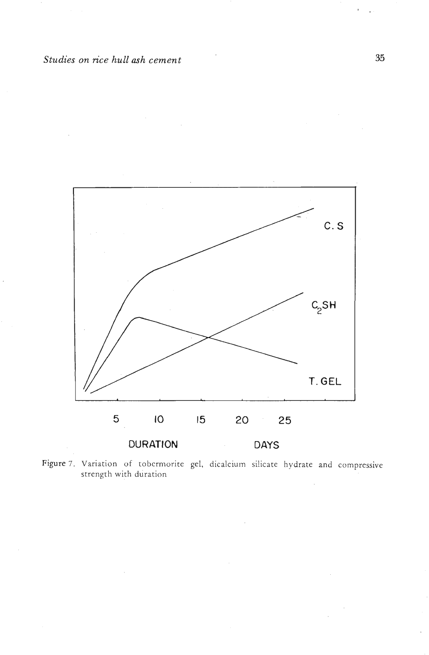

Figure 7. Variation of tobermorite gel, dicalcium silicate hydrate and compressive strength with duration